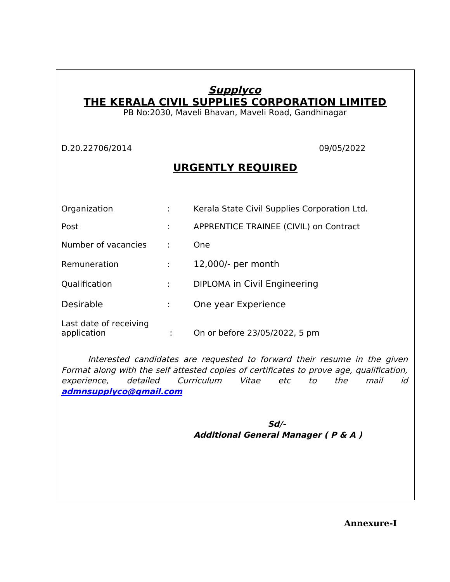## **Supplyco THE KERALA CIVIL SUPPLIES CORPORATION LIMITED**

PB No:2030, Maveli Bhavan, Maveli Road, Gandhinagar

D.20.22706/2014 09/05/2022

## **URGENTLY REQUIRED**

| Organization                          |   | Kerala State Civil Supplies Corporation Ltd. |
|---------------------------------------|---|----------------------------------------------|
| Post                                  | ÷ | APPRENTICE TRAINEE (CIVIL) on Contract       |
| Number of vacancies                   | ÷ | <b>One</b>                                   |
| Remuneration                          | ÷ | 12,000/- per month                           |
| Qualification                         | ÷ | DIPLOMA in Civil Engineering                 |
| <b>Desirable</b>                      |   | One year Experience                          |
| Last date of receiving<br>application |   | On or before 23/05/2022, 5 pm                |

Interested candidates are requested to forward their resume in the given Format along with the self attested copies of certificates to prove age, qualification, experience, detailed Curriculum Vitae etc to the mail id **[admnsupplyco@gmail.com](mailto:admnsupplyco@gmail.com)**

المساور المساور المساور المساور المساور المساور المساور المساور المساور المساور المساور المساور المساور المساور **Additional General Manager ( P & A )**

**Annexure-I**